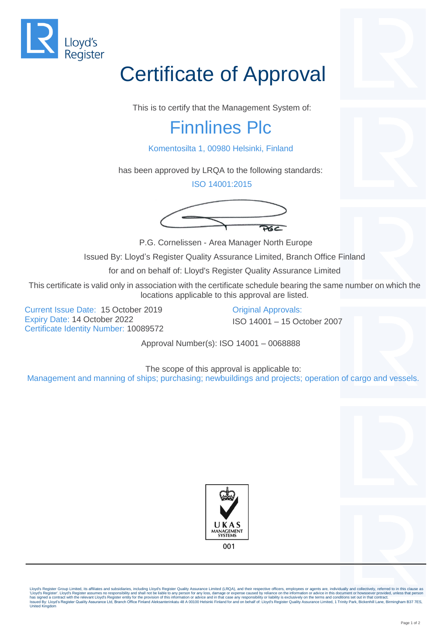

## Certificate of Approval

This is to certify that the Management System of:

## Finnlines Plc

Komentosilta 1, 00980 Helsinki, Finland

has been approved by LRQA to the following standards:

ISO 14001:2015



P.G. Cornelissen - Area Manager North Europe

Issued By: Lloyd's Register Quality Assurance Limited, Branch Office Finland

for and on behalf of: Lloyd's Register Quality Assurance Limited

This certificate is valid only in association with the certificate schedule bearing the same number on which the locations applicable to this approval are listed.

Current Issue Date: 15 October 2019 Original Approvals: Expiry Date: 14 October 2022 ISO 14001 – 15 October 2007 Certificate Identity Number: 10089572

Approval Number(s): ISO 14001 – 0068888

The scope of this approval is applicable to: Management and manning of ships; purchasing; newbuildings and projects; operation of cargo and vessels.





Lloyd's Register Group Limited, its affiliates and subsidiaries, including Lloyd's Register Quality Assurance Limited (LRQA), and their respective officers, employees or agents are, individually and collectively, referred 'Lloyd's Register'. Lloyd's Register assumes no responsibility and shall not be liable to any person for any loss, damage or expense caused by reliance on the information or advice in this document or howsoever provided, u United Kingdom